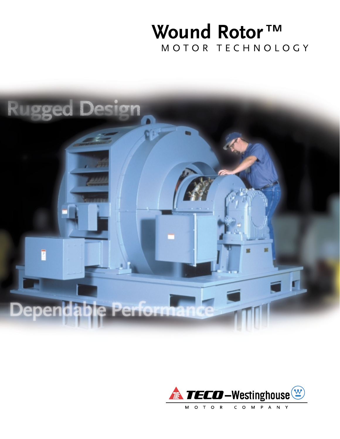# **Wound Rotor**™ MOTOR TECHNOLOGY



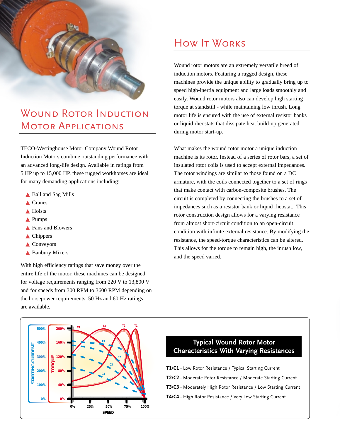

### WOUND ROTOR INDUCTION MOTOR APPLICATIONS

TECO-Westinghouse Motor Company Wound Rotor Induction Motors combine outstanding performance with an advanced long-life design. Available in ratings from 5 HP up to 15,000 HP, these rugged workhorses are ideal for many demanding applications including:

- ▲ Ball and Sag Mills
- ▲ Cranes
- ▲ Hoists
- ▲ Pumps
- ▲ Fans and Blowers
- ▲ Chippers
- ▲ Conveyors
- ▲ Banbury Mixers

With high efficiency ratings that save money over the entire life of the motor, these machines can be designed for voltage requirements ranging from 220 V to 13,800 V and for speeds from 300 RPM to 3600 RPM depending on the horsepower requirements. 50 Hz and 60 Hz ratings are available.

### HOW **IT WORKS**

Wound rotor motors are an extremely versatile breed of induction motors. Featuring a rugged design, these machines provide the unique ability to gradually bring up to speed high-inertia equipment and large loads smoothly and easily. Wound rotor motors also can develop high starting torque at standstill - while maintaining low inrush. Long motor life is ensured with the use of external resistor banks or liquid rheostats that dissipate heat build-up generated during motor start-up.

What makes the wound rotor motor a unique induction machine is its rotor. Instead of a series of rotor bars, a set of insulated rotor coils is used to accept external impedances. The rotor windings are similar to those found on a DC armature, with the coils connected together to a set of rings that make contact with carbon-composite brushes. The circuit is completed by connecting the brushes to a set of impedances such as a resistor bank or liquid rheostat. This rotor construction design allows for a varying resistance from almost short-circuit condition to an open-circuit condition with infinite external resistance. By modifying the resistance, the speed-torque characteristics can be altered. This allows for the torque to remain high, the inrush low, and the speed varied.



#### **Typical Wound Rotor Motor Characteristics With Varying Resistances**

- **T1/C1** Low Rotor Resistance / Typical Starting Current
- **T2/C2** Moderate Rotor Resistance / Moderate Starting Current
- **T3/C3** Moderately High Rotor Resistance / Low Starting Current
- **T4/C4** High Rotor Resistance / Very Low Starting Current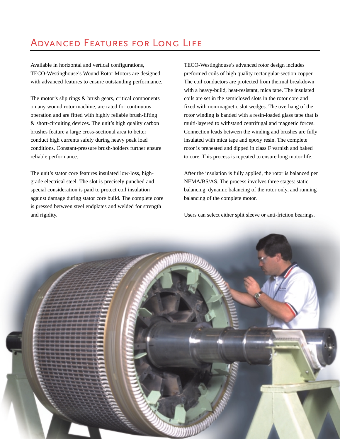### Advanced Features for Long Life

Available in horizontal and vertical configurations, TECO-Westinghouse's Wound Rotor Motors are designed with advanced features to ensure outstanding performance.

The motor's slip rings & brush gears, critical components on any wound rotor machine, are rated for continuous operation and are fitted with highly reliable brush-lifting & short-circuiting devices. The unit's high quality carbon brushes feature a large cross-sectional area to better conduct high currents safely during heavy peak load conditions. Constant-pressure brush-holders further ensure reliable performance.

The unit's stator core features insulated low-loss, highgrade electrical steel. The slot is precisely punched and special consideration is paid to protect coil insulation against damage during stator core build. The complete core is pressed between steel endplates and welded for strength and rigidity.

TECO-Westinghouse's advanced rotor design includes preformed coils of high quality rectangular-section copper. The coil conductors are protected from thermal breakdown with a heavy-build, heat-resistant, mica tape. The insulated coils are set in the semiclosed slots in the rotor core and fixed with non-magnetic slot wedges. The overhang of the rotor winding is banded with a resin-loaded glass tape that is multi-layered to withstand centrifugal and magnetic forces. Connection leads between the winding and brushes are fully insulated with mica tape and epoxy resin. The complete rotor is preheated and dipped in class F varnish and baked to cure. This process is repeated to ensure long motor life.

After the insulation is fully applied, the rotor is balanced per NEMA/BS/AS. The process involves three stages: static balancing, dynamic balancing of the rotor only, and running balancing of the complete motor.

Users can select either split sleeve or anti-friction bearings.